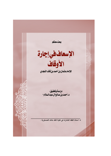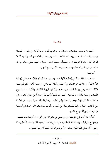#### المقدمة

الحمد لله نحمده ونستعينه، ونستغفره، ونتوب إليه، ونعوذ بالله من شرور أنفسنا ومن سيئات أعمالنا، من يهده الله فلا مضل له، ومن يضلل فلا هادي له، وأشهد أن لا إله إلا الله وحده لا شريك له ، وأشهد أن محمداً عبده ورسوله ، اللهم صلى وسلم وبارك عليه، وعلى أله وأصحابه ومن تبعهم بإحسان إلى يوم الدين . أما يعد :

فهذه رسالة نفيسة في إجارة الأوقاف، وسمها مؤلفها بـ (الإسعاف في إجارة الأوقاف)، ومؤلفها هو عثمان بن أحمد بن قائد النجدي –رحمه الله– المتوفى سنه (١٠٩٧هـ)، وهي وإن كانت صغيره الحجم إلا أنها غزيرة الفائدة، وتكشف عن نبوغ المصنف وعلمه بالفقه، وقد عهده العلماء، فقيهاً وأصولياً ومحدثاً من خلال كتبه، وفي هذه الرسالة ذكر المؤلف بعض الأحكام التي تختص بإجارة الوقف، وضمنها بعض الأدلة من الكتاب والسنّة ، ولما لهذه الرسالة من أهميه ، وأنه لم يسبق نشرها ، رغبت في تحقيقها ونشرها، راجياً أن ينفع الله بها .

أسأل الله أن يجزي مؤلفها، ومن سعى في نشرها خير الجزاء، وأن يسدد محققها، وأن ينفع من قرائها وأسأله كذلك أن يجعل عملي خالصاً لوجهه الكريم، صواباً على سنّة رسول الله صلى الله عليه وسلم، وأخر دعوانا أن الحمد لله رب العالمين .

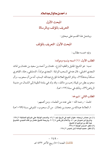المحث الأول التعريف بالمؤلف وبالرسالة

ويشتمل هذا القسم على مبحثين :

المبحث الأول: التعريف بالمؤلف

وفيه خمسه مطالب :

المطلب الأول: (١) اسمه ونسبه ومولده:

نسبه : هو الشيخ الجليل والفقيه البارع، عثمان بن أحمد بن سعيد بن عثمان بن قائد النجدي الحنبلي، قال عنه في السحب الوابلة : النجدي مولداً، الدمشقي رحلة، القاهري مسكناً ومدفناً(٢)، وذكر الشيخ العلامة المؤرخ عبدالله البسام، أنه من آل سحوب، وآل سحوب بطن من قبيلة زعب بن مالك، وقد ولد في بلدة العُيينة إلى الشمال من مدينة الرياض(٣)، وذلك في سنة (٢٢٠١هـ).

- المطلب الثاني: شيوخه: تتلمذ – رحمه الله – على عدد من العلماء، ومن أهمهم : ١ ـ العلامة عبدالله بن محمد بن ذهلان . من آل سحوب، المتوفى سنة (٩٩٠١هـ)
- (١) من مصادر ترجمته: عنوان المجد في تاريخ نجد ٨٦/١، والسحب الوابلة على ضرائح الحنابلة ٦٩٧/٢، وتاريخ ابن ضويان ص ٤١، والأعلام للزركلـي ٢٠٢/٤، وترجمة الشبخ عثمان بن قائد النجدي، للشبــخ عبدا لملك بن إبراهيم آل الشيخ.
	- (٢) انظر: السحب الوابلة ٢٩٧/٢. (٣) انظر: معجم اليمامة لابن خميس ١٩٨/٢.

 $-729-$ عَلَيْتِيْتِكَ العدد (٥٠) ربيع الآخر ١٤٣٢هـ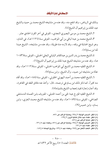وذلك في الرياض، وقد انتفع منه، وقد عده من مشايخه الشيخ محمد بن حميد والشيخ عبد الملك بن إبراهيم آل الشيخ(٤) .

٢ـ الشيخ محمد بن موسى البصيري النجدي، المتوفى في أخر القرن الحادي عشر .

٣ـ الشيخ محمد بن عبدا لباقي بن أبي المواهب، المتوفى سنة (١١٢٦هـ)، في الشام، وهو شيخ الحنابلة في وقته، وقد لازمه مدة طويلة، وقد عده من مشايخه، الشيخ عبدا لله ابن بسام(٥) .

٤ـ الشيخ محمد بن بدر الدين بن عبدالقادر البلباني البعلي الحنبلي ، المتوفى سنة(١٠٨٣ هـ)، وقد عده من مشايخه الشيخ عبدا لملك بن إبراهيم أل الشيخ(٦) .

٥\_الشيخ الفقيه محمد بن الشيخ أبي المواهب الحنبلي ، المتوفى سنة(١١١٢هـ) ، وقد عدَّة من مشايخه ابن حميد، وأل الشيخ، وابن بسام(٧) .

٦ـ الشيخ الفقيه محمد بن أحمد البهوتي الخلوتي ، المتوفى سنة (١٠٨٨هـ) ، وقد أفاد منه كثيراً، كما ذكر ذلك ابن بسام في ترجمته ، قال : وأخذ عنه دقائق الفقه في القاهرة ، وقد أجازه إجازة تفيد إعجاب الشيخ بتلميذه(٨) .

٧ـ الشيخ الفقيه المؤرخ عبدا لحي بن أحمد الحنبلي ، المعروف بابن العماد الدمشقي الصالحي، المتوفى سنة (١٠٨٩هـ)، وقد عده من مشايخه الشيخ محمد الغزى، وابن بسام، وابن خميس(٩).

> (٤) انظر: السحب الوابلة ٢ /٢٩٨، وهداية الراغب ص ٥٧٦. (٥) انظر: علماء نجد خلال ثمانية قرون ١٢٩/٢. (٦) انظر: هداية الراغب ص/ ٥٧٦. (٧) انظر: السحب الوابلة ٦٩٨/٢، وهداية الراغب ص/٧٦٦، وعلماء نجد ١٣١/٥. (٨) انظر: علماء نجد ٥/ ١٣١. (٩) انظر: النعت الأكمل ص/٢٤٩، وعلماء نجد ١٣٢/٥، وتاريخ البمامة ١٨٢/٥.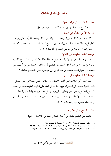المطلب الثالث: ذكر مراحل حياته

حياة الشيخ عثمان النجدي رحمه الله مرت بثلاث مراحل : المرحلة الأولى: نشأته في العيينة:

كانت أول حياة الشيخ في العيينة ، ففيها ولد ، وبها نشأ وحفظ القرآن الكريم وأخذ العلم في هذه المرحلة عن الشيخين الفاضلين : الشيخ العلامة عبدا لله بن محمد بن ذهلان والشيخ العلامة محمد بن موسى البصيري النجدي(١٠) .

المرحلة الثانية: جلوسه في الشام:

انتقل رحمه الله من نجد إلى الشام، وفي هذه المرحلة أخذ العلـم عـن الشيـخ الـفقيـه محمد بن بدر الدين عبد القادر البلباني ، والشيخ الفقيه المؤرخ عبد الحي بن أحمد ابن العماد، والشيخ الفقيه محمد بن عبد الباقي أبي المواهب مفتى الحنابلة بالشام(١١) . المرحلة الثالثة: جلوسه في مصر

بعد اشتداد أبي المواهب على الشيخ عثمان، إثر خلاف حصل بينهما في بعض المسائل، انتقل الشيخ عثمان إلى القاهرة، وبها أخذ دقائق الفقه على الشيخ الفقيه محمد بن أحمد البهوتي الخلوتي، حتى مهر وحقق ودقق واشتهر في مصر ونواحيها بالعلم والتحقيق، وقصده الناس بالأسئلة والاستفتاء سنين عديدة، واستمر في مصر بقية عمره إلىي أن وافاه أجله المحتوم فيها رحمه الله(١٢).

> المطلب الرابع: ذكر تلاميذه تتلمذ على الشيخ عثمان بن أحمد النجدي عدد من التلاميذ ، وهم :

- (١٠) انظر: السحب الوابلة ٢ /٦٩٧-٦٩٩، وهداية الراغب ص/ ٥٧٦.
- (١١) انظر: السحب الوابلة ٢٩٨/٢، وهداية الراغب ص ٧٦ه وعلماء نجد ١٣١٥/١٣١٥.
	- (١٢) انظر: هداية الراغب ص ٥٧٦، والدرر السنية ١١٥/٤، علماء نجد ١٩٦/٢و١٩٠.

 $-701-$ عَلَيْتِيْتِيْنَ العدد (٥٠) ربيع الآخر ١٤٣٢هـ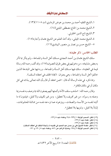المطلب الخامس: ذكر عقيدته:

سلك الشيخ عثمان بن أحمد النجدي مسلك أهل السنة والجماعة ، ولم يتأثر بما تأثر به بعض مشايخه ، من دخولهم في بعض طرق التصوف(١٧) ، وقد ألف رحمه الله رسالة قيمة في العقيدة، سلك فيها مسلك أهل السنّة والجماعة ، ورد فيها على المبتدعة الذين خالفوا أهل السنة والجماعة ، وهي بعنوان : (نجاة الخلف في اعتقاد السلف) .

ومما ذكره في هذه الرسالة أنه قال : «فمن اعتقد أو قال بأن الله تعالى بذاته في كل مكان أو في مكان فكافر » .

وقال رحمه الله : «مذهب سلف الأمة وأئمتها أنهم يصفون الله بما وصف به نفسه وبما وصفه به رسوله، من غير تحريف ولا تعطيل، ومن غير تكييف ولا تمثيل، فيثبتون له ما أثبته لنفسه من الأسماء والصفات ، و منزهو نه عما نز ه عنه نفسه من مماثلة المخلو قات ، إثباتاً بلا تمثيل، وتنزيها بلا تعطيل».

> (١٣) انظر: السحب الوائلة ١ / ٢٣٩-٢٤٨ وعلماء نحد ١٣٢/٥. (١٤) انظر: علماء نجد ١٣٢/٥.

- (١٥) انظر: علماء نجد ١٣٢/٥.
- (١٦) انظر: مقدمة الشيخ علي بن حسن عبد الحميد في تقديمه لــ (نجاة الخلف في اعتقاد السلف).
	- (١٧) انظر: السحب الوابلة ٦٩٨/٢، وهداية الراغب ص ٥٧٦، وعلماء نجد ١٣٠/٥ و ١٣٠.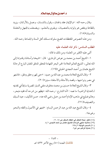### د.أحمدين صالح آل عبدالسلام

وقال رحمه الله : «والإيمان عقد بالجنان ، وقو ل باللسان ، وعمل بالأركان ، يزيد بالطاعة وينقص هو وثوابه بالعصيان، ويقوى بالعلم، ويضعف بالجهل والغفلة والنسيان»(١٨).

ومن هذه النصوص المقتطفات اتضح سلوكه مسلك أهل السنة والجماعة رحمه الله .

المطلب السادس: ذكر ثناء العلماء عليه

أثنى عليه الكثير من العلماء ومن ذلك ما قاله :

١ – الشيخ أحمد بن محمد بن عوض المرداوي : قال : «شيخنا وأستاذنا وقدوتنا إلىي الله تعالى، الشيخ العالم العلامة الحبر البحر الفهامة المحقق المدقق المتفنن البارع الرحالة الشيخ عثمان بن أحمد النجدي الحنبلي»(١٩) .

٢- وقال الشيخ العلامة محمد بن عبد الله بن حميد : «حتى تمهر وحقق ودقق ، فاشتهر في مصر ونواحيها، وقصد بالأسئلة والاستفتاء سنين»(٢٠).

٣- وقال الشيخ العلامة حسنين بن محمد مخلوف مفتى الديار المصرية سابقاً في تقديمه لـ (هداية الراغب) ما نصه : «أما الشارح –رحمه الله– فيظهر من شرحه أنه فقيه متبحر ، وعالم ضليع في مذهب الإمام أحمد بن حنبل رضي الله عنه ، حسن التأليف ، جيد السبك والتصنيف»(٢١).

٤- وقال الشيخ عبد الله بن عبد الرحمن البسام: «فمهر في الأصول والفقه والنحو وغيرها» .

- (١٨) انظر: نحاة الخلف في اعتقاد السلف ص ١٥, ١٦. (١٩) حاشية منتهي الإرادات للشيخ عثمان بن أحمد النجدي ١ / ٤. (٢٠) السحب الوائلة ٢ / ٦٩٨. (٢١) هداية الراغب ص ١٥و.
	-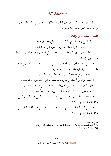وقال : والمترجم له ليس على طريقة كثير من الفقهاء المتأخرين في صفات الله تعالى ، بل هو محقق على طريقة السلف(٢٢).

المطلب السابع: ذكر مؤلفاته:

شارك الشيخ رحمه الله في التأليف، وفيما يلي بعض مؤلفاته : ١- هداية الراغب شرح عمدة الطالب . وهو مطبوع عدة طبعات . ٢- حاشية على منتهى الإرادات، وقد حققها معالى الدكتور عبد الله التركي ونشرها مع (منتهى الإرادات) . ٣- شرح المنظومة اللامية في الفرائض للشيخ نصر الله بن أحمد التستري، وقد طبعت، في دار العلوم والحكم في المدينة النبوية . ٤- نجاة الخلف في اعتقاد السلف، وهو مطبوع عدة طبعات . ٥- قطع النزاع في أحكام الرضاع، وقد حققه الدكتور وليد الفريان، ثم طبعه . ٦- رسالة في كشف الضو في معنى (لو)، وقد طبعت في دار عمان بالأردن . ٧- رسالة في (أيٍّ) المشددة، وقد طبعت في دار عمان بالأردن . ٨- مختصر درة الخواص، ذكره الشيخ محمد بن حميد، والشيخ عبد الملك آل الشيخ، والشيخ عبد الله البسام(٢٣) . ٩- شرح البسملة، ذكره الشيخ محمد بن حميد، والشيخ عبد الملك آل الشيخ، والشيخ عبد الله البسام(٢٤).

(٢٢) علماء نجد ٥/ ١٣٠, ١٣١.

(٢٣) انظر: السحب الوابلة ٢ / ٦٩٩، وهداية الراغب ص ٥٧٧، وعلماء نجد ٥ / ١٣٥.

(٢٤) انظر: المصادر السابقة.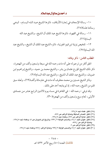د.أحمدين صالح آل عبدالسلام

١٠- رسالة الإسعاف في إجارة الأوقاف، ذكرها الشيخ عبد الله البسام، (وهي رسالتنا هذه)(٢٥). ١١- رسالة في القهوة، ذكرها الشيخ عبد الملك آل الشيخ، والشيخ عبد الله البسام(٢٦). ١٢ – تلخيص نونية ابن قيم الجوزية ، ذكره الشيخ عبد الملك آل الشيخ ، والشيخ عبد الله البسام(٢٧).

المطلب الثامن– ذكر وفاته:

اتفق أكثر من ترجم له على أنه مات رحمه الله في سبعة وتسعين وألف من الهجرة، ذكر ذلك الشيخ المؤرخ عثمان بن بشر ، والشيخ محمد بن حميد ، والشيخ إبراهيم ابن ضويان، والشيخ عبد الملك أل الشيخ، والشيخ عبد الله البسام(٢٨). وذكر الشيخ حسنين بن محمد مخلو ف أنه مات في عام مائة وألف(٢٩)، ولعله سبق قلم من الشيخ رحمه الله، إذ لم يتابعه أحد على ذلك . وقد توفي -رحمه الله - في القاهرة في مساء يوم الاثنين الرابع عشر من جمادي الأولى، لعام سبع وتسعين وألف من الهجرة(٣٠).

(٢٥) انظر: علماء نجد ٥ / ١٣٤. (٢٦) انظر: المصادر السابقة وهداية الراغب ص ٥٧٧. (٢٧) انظر: هداية الراغب ص ٥٧٧ه، وعلماء نجد ١٣٤/٥. (٢٨) انظر: عنوان المجد ٨٦/١، والسحب الوابلة ٢ / ٦٩٩، وتاريخ ابن ضويان ص٤١، وعلماء نجد ١٣٨/٥، وهداية الراغب ص /٧٧ه. (٢٩) انظر: هداية الراغب ص ٦.

(٣٠) انظر: عنوان المجد ٨٦/١ والسحب الوابلة ٦٩٩/٢ وهداية الراغب /٥٧٧ وعلماء نجد ١٣٨/٥.

 $-700-$ عَلَيْتِيْتَكَ العدد (٥٠) ربيع الآخر ١٤٣٢هـ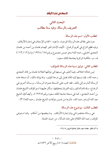المبحث الثاني التعريف بالرسالة، وفيه ستة مطالب

المطلب الأول: اسم هذه الرسالة:

دون على غلاف هذه الرسالة الموجزة، ما نصه : «كتاب الإسعاف في إجارة الأوقاف . ويليه قطع النزاع في تحريم الرضاع . تأليف الإمام الحبر الهمام عثمان بن أحمد بن عثمان النجدي الحنبلي رحمه الله» وهو ضمن مجموع برقم (١٨/ ١٩٢٨/ م) و(١١٢-١١٣) ف ـ م، بالمكتبة المركزية بجامعة الملك سعود .

المطلب الثاني: توثيق نسبة هذه الرسالة للمؤلف:

ليس هناك اختلاف ـ فيما أعلم ـ في نسبتها إلى مؤلفها العلامة عثمان بن قائد النجدي رحمه الله ، فإن نسبتها إليه تكاد تصل إلى درجة اليقين ، ومما يؤكد ذلك ، أن نسخة هذه الرسالة أشارت إلى ذلك، فقد كتب على النسخة عنوان الرسالة، ورسالة أخرى في الرضاع، وقد قام الدكتور وليد الفريان بتحقيقها، وذُكر عليهما اسم المؤلف الشيخ عثمان بن أحمد النجدي، كما في نسخة جامعة الملك سعود برقم (١٩٢٨)، وأيضاً فإن الشيخ عبد الله البسام رحمه الله، ذكرها من ضمن مؤلفات الشيخ عثمان رحمه الله(٣١) .

المطلب الثالث: موضوع هذه الرسالة:

هي رسالة مختصرة في بيان إجارة الأوقاف . وما يخصها من أحكام . وقد استوفى المؤلف رحمه الله الكلام على هذه المسألة ، من حيث الجملة .

(٣١) انظر: علماء نجد خلال ثمانية قرون ١٣٤/٥.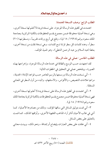المطلب الرابع: وصف النسخة المعتمدة:

اعتمدت في تحقيق هذه الر سالة الموجزة، على نسخه فريدة لا أعلم لها نسخة أخرى، وهي نسخة أصلية محفوظة ضمن مجموع بقسم المخطوطات بالمكتبة المركزية بجامعة الملك سعود برقم (١٩٢٨/ ١٨ ق)، وتقع في أربع ورقات تقريباً، ومسطرتها (٢٠) سطراً، وعدد كلمات كل سطر قرابة تسع كلمات، وهي نسخة نقلت من نسخة أخرى، بخط (عبد السلام بن عبد الرحمن الشطي)، وهو تلميذ المؤلف .

المطلب الخامس: عملي في هذه الرسالة:

لقد اجتهدت حسب الوسع والطاقة في خدمة هذه الرسالة الموجزة، وإخراجها بهذه الصورة، ويتلخص عملي في التحقيق في الخطوات التالية :

١- أني نسخت هذه الرسالة ورسمتها بالرسم المعاصر حسب قواعد الإملاء الحديثة ، مراعيا علامات التنصيص، والأقواس، والاستفهام، والبدء من أول السطر في المعاني المستقلة .

٢- أني اعتمدت في تحقيق هذه الرسالة على نسخة فريدة لا أعلم لها نسخة أخرى، فهي نسخة أصلية محفوظة ضمن مجموع بقسم المخطوطات بالمكتبة المركزية بجامعة الملك سعود برقم (١٩٢٨/ ١٨ ق).

٣- أني قمت بتوثيق المسائل التي ساقها المؤلف، وذلك من مصادرها الأصلية، كما أنني في غالب الأحيان أذكر آراء المذاهب الفقهية الأخرى، وأوثقها كذلك، كما قمت بالتعليق على بعض المسائل .

٤- أني علقت على بعض العبارات بإيضاح أو إضافة ، ونحو ذلك ، وبينت معاني

 $-$  70V  $-$ عَلَيْقِيْتِكَ العدد (٥٠) ربيع الآخر ١٤٣٢هـ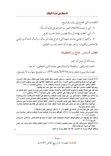المطلب السادس: نماذج من المخطوطة:

(٣٢) الإجارة: بكسر الهمزة ــ وهو المشهور ــ وحكى الضم، ونقل الفتح أيضاً، فهي مثلثة، وهي لـغة: الأجــرة، فهي في أصل الوضع اللـغوي بمعنى الأجرة،، وإن اشتهر عند الفقهاء إطلاقها على سبب وجوب الأجرة، وهو العقد، وانظر: المصباح المنير ص (٢)، وتهذيب الأسماء واللغات ٤/٣،، ومغنى المحتاج ٢/ ٣٣٢. ويعرفها الفقهاء باعتبار أنها عقد، لا باعتبار أنها أجرة، كما سبق، فمن تعريفاتهم:

أنها عقد على منفعة مقصودة معلومة قابلة للبذل والإباحة بعوض معلوم، وهي نوع من البيع ؛ لأنها تمليك من كل واحد منهما لصاحبه، إلا أنها واقعة على المنافع، وانظر: مغني المحتاج ٢٣٢/٢، والمغني ٧/٨.

ولا خلاف بين الفقهاء ــ فيما ظهر لي ــ في جواز إجارة الوقف، وصحتها في الجملة إذا وقعـت بــ شــروطــهــا المعتبرة، وقد أفردوا لإجارة الوقف مباحث ضمن كتاب الوقف، وبعضهم يتكلم عنها في كتاب الإجارة؛ لأن العين الموقوفة عــينٌ ذات منفعة، فهي تؤجر كغيرها من الأعيـان، لكنها تحتاج لأحكام خاصــة فــي بــعـض جوانبها، ولذا يقلِّ أن تجد من ينص على حكم إجارة الوقف نصاً، بل يدخلون في تفاصيل أحكامها مباشرة، دخول المسلم بجوازها.

وممن نص على جوازها: ابن قدامة في المقنع (٢ / ٢٠٣) قال: (وتجوز إجارة الوقف).

- وقال النووي في روضة الطالـبـين (٣٥١/٥): (للواقف ولمْن ولاه الوقـفَ إجارةُ الوقف) وانظر: حاشية ابـن عابدين: (٤٠١، ٤٠١).
- وعللوا ذلك بقولهم: لأن منافع الوقف مملوكة للموقوف عليه، فجاز له إجارتها كالمستأجر. وانـظـر: الــروض المربع (٣٠٩/٢).
- (٣٣) الأوقاف جمع وقف، قال في معجم مقاييس اللغــة (٦/ ١٣٥): الواو والقاف والفاء أصل واحد يدل علــي تمكث في شيء، ثم يقاس عليه. ويطلق الوقف ويراد به الحبس، كما أنه يطلق ويراد به المنع.

 $=$ 

 $-70A-$ عَلَيْتِيْتِيْنَ العدد (٥٠) ربيع الآخر ١٤٣٢هـ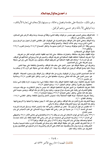| فأما الوقف بمعنى الحبس فهو مصدر ، من قولك: وقفت الشيء وقفاً أي حبسته، ومنه وقف الأرض على المساكين،      |  |
|---------------------------------------------------------------------------------------------------------|--|
| والحَبِس بِالضَم هي ما وقف.                                                                             |  |
| وأما الوقف بمعنى المنع: فلأن الواقف يمنع التصرف في الموقوف، فإن مقتضى المنع أن تحول بين الرجل وبين      |  |
| الشيء الذي يريده، وهو خلاف الإعطاء. والجمع أوقاف وأحباس.                                                |  |
| وسمي وقفاً ؛ لأن العين موقوفة، وحبساً ؛ لأن العين محبوسة، وانظر: الصحاح ٩١٥/٣، ولسان العرب ٢ /٦٦٩       |  |
| والمطلع ٢٨٥.                                                                                            |  |
| ثانياً: الوقف في الاصطلاح:                                                                              |  |
| عرّفِه الفقهاء بتعاريف مختلفة، باعتبارات مختلفة، حتى إننا نجد لفقهاء المذهب الواحد أكثر من تعريف.       |  |
| أولاً: تعريف الحنفية: اختلفت فقهاء الحنفية في تعريف الوقف، والسبب في هذا يرجع إلى اختلافهم في الوقف،    |  |
| هل هو لازم أم لا ؟ ولذلك فإن فقهاء الحنفية في تعريفهم للوقف يــڤرقون بين تعريفه على رأي أبي حنيفة       |  |
| وبين تعريفه على رأي الصاحبين.                                                                           |  |
| وتعريف أبي حنيفة للوقف هو: حبس العين على حكم ملك الواقف، والتصدق بالمنفعة على جهة الخير.                |  |
| وبناء عليه يصح للواقف الرجوع عن الوقف، وله بيعه ؛ لأن الوقف عند أبي حنيفة غير لازم، إلا أن يحكم بــه    |  |
|                                                                                                         |  |
| أما عند الصاحبين اللذين يريان أن الموقوف يخرج عن ملك الواقف، وأن الوقف يلزم بمجرد الصيغة،  فالوقف       |  |
| هو: حبس العين على ملك الله تعالى، وصرف منفعتها على من أحب، وانظر: فتح القديــر ٣٧/٥، وحاشية             |  |
| ابن عابدين ٤ /١٣٦.                                                                                      |  |
| ثانياً: تعريف المالكية: عرف فقهاء المالكية الوقف بأنه: إعطاء منفعة شيء مدة وجوده، لازما بقاؤه فـي مـلـك |  |
| معطيها، ولو تقديراً، وانظر: مواهب الجليل ١٨/٦، ومنح الجليل ٣٤/٣.                                        |  |
| ثالثاً: تعريف الشافعية: من أشهر تعاريف الشافعية للوقف: أنه حبس ما يمكن الانتفاع به، مع بقاء عـيـنــه،   |  |
| بقطع التصرف في رقبته على مصرف مباح موجود. وعليه يخرج المال عن ملك الواقف، ويصير حبيساً على              |  |
| حكم ملك الله تعالى، وانظر: مغنى المحتاج ٣٦٧/٢، ونهاية المحتاج ٥/ ٢٥٨.                                   |  |
| رابعاً: تعريف الحنابلة: عرفه فقهاء الحنابلة بأنه: تحبيس الأصل وتسبيل المنفعة، وانظر: المغنـي ١٨٤/٨،     |  |
| وكشاف القناع ٧ / ٧.                                                                                     |  |
| وبهذا التعريف تخرج العين عن ملك الواقف، وتكون في سبيل الله، لا يجوز بيعها، ولا هبتها، ولا الرجوع فيها.  |  |
| ولعل هذا التعريف هو أرجح التعريفات للوقف، وذلك لما يأتى:                                                |  |
| ١– أنه مقتبس من قول الرسول ﷺ   لعمر بن الخطاب رضي الله عنه (أحبس أصله، وسـبِّل ثمرته) أخرجــه           |  |
| أحمد في المسند ٢ / ١١٤، من حديث ابن عمر، رضي الله عنهما، ورواه النسائي، في كتب الأحباس في باب           |  |
| حبس المشاع                                                                                              |  |
| ٦ / ٢٣٢، وابن ماجه في أبواب الأحكام، في باب من وقف (٢ / ٥٤) والطحاوي في معاني الآثار ٤ / ٩٥، والبيهقي   |  |
| في السنن ٦ / ١٦٢، وأخرجه البخاري في صحيحه عن ابن عمر رضي الله عنهما بلفظ: (إن شئت حبسـت                 |  |
| أصلها وتصدقت بها) في باب الشروط، برقم (٢٥٣٧)، وفي باب الوقف برقم(١٦٣٢).                                 |  |
| ٢– أن هذا التعريف اقتصر على ذكر حقيقة الوقف فقط، ولم يدخل في تفصيلات أخرى دخلت فـيــهـــا بــقــيــة    |  |
| التعريفات، بل ترك بيان ذلك وتفصيله عند الكلام على الأركان والشروط، إذ إن الدخول في التفاصيل يخرج        |  |
| التعريف عن دلالته، والله أعلم.                                                                          |  |

 $-709-$ علم العدد (٥٠) ربيع الآخر ١٤٣٢هـ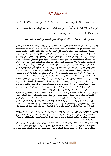- (٣٤) لم يذكر كثير من الفقهاء المتقدمين تعريفا محددا للمعنى المراد بشروط الواقفين، بل كانوا يكتفون بذكـر بعض الأمثلة لها مع بيان أحكامها، ولكن بعض المتأخرين من الباحثين في الوقف ذكر لها تعريفاً بجمعها، ويمكن أن تدخل تحته جميع الأمثلة والصور التي لاحصر لها، ومن أمثلة الفقهاء المتقدمين، وتــعــريــفــات الباحثين المتأخرين، يمكن أن نستخلص تعريــفــاً لشروط الواقفين، يجمعها ويلم شتاتها، فنقــول: شــروط الواقفين: (هي ما تفيده وتشتمل عليه صيغة الوقف من القواعد التي يضعها الواقف للعمل بها في وقفه، مع بيان مصارفه، وطريقة استغلاله، وتعيين جهات الاستحقاق، وكيفية توزيع الغلة على المستحقين، وبيــان الولاية على الوقف، والإنفاق عليه، ونحو ذلك)، وانظر: محاضرات فـي الــوقـف لأبــي زهــرة (ص ١٣٦)، والوقف في الشريعة والقانون لزهدي يكن (ص ٥٠). وهذه الشروط في الغالب جارية مجرى الشروط في العقود والتي فصل فيها أهل العلم في مسألة العقد والشروط، وقد أخذت حظاً وافراً من البحث والدراسة في الكتب الفقهية القديمة والمعاصرة، ويمكن الرجوع إلى ذلك باستفاضة في المصادر التالية: (بداية المجتـهـد لابن رشد ٢ / ٢٠٢ \_ ٢٠٩، و المجموع للنــووي ٨ / ٤١٢-٤٢٠، و المغنى لابن قدامــة ٤ / ٧٢ ـــ٨٠، وفتاوي شيخ الإسلام ابن تيمية ١٢٦/٢٩-١٨٠، ومحاضرات في الوقف لأبي زهرة ص ٣٨٤ ـ ٣٩٦.
- (٣٥) يعتبر مذهب الحنابلة –رحمهم الله– من أكثر المذاهب توسعــاً في تصحيح الشروط في العقود، فإنـه لا يمنع إلا ما قام الدليل على منعه، وجمهور الحنابلة لا يخالفون في هذه القاعدة في شروط الواقــفــين، بــل يسيرون عليها بوضوح، ويرون أن كل شرط محرم أو يفضي إلى محرم، أو إلى إخلال بالمقصود الشرعي، فهو باطل، وأن كل شرط غير مناف لمقتضى الوقف، ولا هو منهى عنه شرعاً، فهو شرط جائز معتبر، ومن نصوصهم في هذا الباب ما جاء في المقنع والشرح الكبير: (١٦/ ٤٤٠):
- «ويرجع إلى شرط واقف في قسمة على الموقوف عليهم، وفي التقديم والتأخير، والجمع والترتيب والتسوية والتفضيل، وإخراج من شاء بصِّفة، وإدخاله بصفة، وفي الناظر فيه، والإنفاق عليه، وسائر أحواله ؛ لأنــه ثبت بوقفه، فوجب أن يتبع فيه شرطه، ولأن ابتداء الوقف مفوض إليه، فكذلك تفضيله وترتيبه» وفي شرح منتهى الإرادات للبهوتي (٤٩٧/٢): (وشرط بيعه أي الوقف متى شاء الواقف، أو شرط هبته متى شَاء، أو شرط خيار فيه، أو شرط توقيته، كقوله: هو وقف يوماً، أو سنة ونحوه، أو شرط تحويله، أي الوقف، كـ: وقفتُ داري على جهة كذا على أن أحولها عنها أو عن الوقفية، بأن أرجع متى شئت، مبطل للوقف، لمنافاته ﻠﻘﺘﻀﺎﻩ).
- ويقول أيضاً: (ويرجع في أمور الوقف إلى شرط واقف، كشرطه لزيد كذا، ولعمرو كذا ؛ لأن عمر شرط في وقفه شروطاً، فلو لم يجب اتباعها لم يكن في اشتراطها فائدة، ولأن ابتداء الوقف مفوض إلى واقــفـــ»، فــاتــبـــع شرطه)، وهكذا نرى أن مذهب الحنابلة هو وجوب اعتبار شرط الواقف، ما لم يكن منافياً لمقتضى الوقف، أو منهياً عنه شر عاً.
- (٣٦) المقصود به: كشاف القناع عن متن الإقناع، لمؤلفه العلامة: منصور بن يونس البهوتي الحنبلي، وقد ذكر الشيخ منصور منهجه في شرحه في مقدمة كتابه، فقد مزج (الإقناع) بشرحه، وتتبع أصوله التي أخذ منها، كالمقنع، والمحرر، والفروع والمستوعب، والإنصاف، والشرح الكبير، وكان تعويله في الغالب عـلـي شــرح =

 $-177 -$ عَلَيْتِيْتِيْنَ العدد (٥٠) ربيع الآخر ١٤٣٢هـ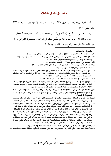قال : «وأفتى به شيخنا المرداوي(٣٧)، ولم نزل نفتى به، إذ هو(أولى من بيعه)(٣٨) إذن» انتهى (٣٩) . وهذا داخل في قول شيخ الإسلام أبي العباس أحمد بن تيمية(٤٠) –رحمه الله تعالى : «والشروط إنما يلزم الوفاء بها، إذا لم يُفْض ذلك إلى الإخلال بالمقصود الشرعي، ولا تجوز المحافظة على بعضها مع فوات المقصود بها»(١ ٤ ). منتهى الإرادات، والمدع. قال عنه ابن بدران في المدخل ص (٤٤٢): «وقد شرح الإقناع شرحاً مفيداً في أربع مجلدات». (٣٧) هو علاء الدين على بن سليمان بن أحمد المرداوي الحنبلــي، ولــد ســنــة (٨١٧ هــ)، وهو شيخ المذهـب ومصححه، وصاحب التصانيف الفائقة، توفي سنة (٨٨٥ هـ). انظر ترجمته في: الضوء اللامع ٥ / ٢٢٥، والجوهر المنضّد ص (٩٩). (٣٨) في المخطوط: (لمن بيده) وما أثبتُه هو الصواب، كما في كشاف القناع ١٠/٣٠. (٣٩) كشاف القناع عن متن الإقناع للبهوتي ٤٣/١٠. (٤٠) هو: أحمد بن عبدالحليم بن عبدالسلام النميري، الحراني، أبوالعباس تقي الدين ابن تيمية، شيخ الإسلام، الإمام المجاهد، الداعية المصلح، الفقيه المجتهد، ولد سنــة (٦٦٦١هــ)، وكان آية في التفسير والأصول والفقه والحديث، توفي رحمه الله معتقلاً بقلعة دمشق سنة (٧٢٨ هـ) انظر: ترجمته في: ذيل طبقات الحنابلة ٢ /٣٨٧، وتذكرة الحفاظ ١٩٦/٤. (٤١) مجموع الفتاوي ١٦/٣١، ولشيخ الإسلام وتلميذه ابن القيم رحمهما الله تفصيل لشروط الواقفين، يختلف قليلاً عن ظاهر كلام جمهور فقهاء الحنابلة من حيث النظر إلى الشروط المباحة، فهـمــا لا يــريــان وجــوب الالتزام إلا بشرط مستحب شرعاً، انطلاقاً منهما في اعتبار القربة في أصل الوقف. يقول العلامة أبو العباس ابن تيمية: (الأعمال المشروطة في الوقف من الأمور الدينية، مثل الوقف على الأئمــة والمؤذنين والمشتغلين بالعلم والقرآن والحديث والفقه، ونحو ذلك، أو بالعبادة ۖ أو بالجهاد في سبيل الــلــه تنقسم ثلاثة أقسام): أحدها: عمل يتقرب به إلى الله تعالى، وهو الواجبات والمستحبات التي رغب الرسول صلى الله عليه وسـلــم وحض على تحصيلها، فمثل هذا الشرط يجب الوفاء به، ويقف استحقاق الوقف على حصوله في الجملة. والثاني: عمل قد نهي رسول الله عنه نهي تحريم أو نهي تنزيه، فاشتراط مثل هذا العمل باطل باتفاق العلماء، ﻠﺎ ﻗﺪ ﺍﺳﺘﻔﺎﺵ ﻋﻦ ﺭﺳﻮﻝ ﺍﻟﻠﻪ ﺻﻠﻰ ﺍﻟﻠﻪ ﻋﻠﻴﻪ ﻭﺳﻠﻢ ﺃﻧﻪ ﺧﻄﺐ ﻋﻠﻰ ﻣﻨﺒﺮﻩ، ﻓﻘﺎﻝ: (ﻣﺎ ﺑﺎﻝ ﺃﻗﻮﺍﻡ ﻳﺸﺘﺮﻃـﻮﻥ شروطاً ليست في كتاب الله؟ من اشترط شرطاً ليس في كتاب الله فهو بـاطل، وإن كان مائة شرط، كتاب الله أحق، وشرطه أوثق) وهذا الحديث وإن خرج بسبب شرط الولاء لغير المعتق، فإن العبرة بعموم اللفـظ لا بخصوص السبب، عند عامة العلماء، وهو مجمع عليه في هذا الحديث، وما كان من الشروط مستلزماً وجود ما نهى عنه الشارع، فهو بمنزلة ما نهى عنه، وما علم ببعض الأدلة الشرعية أنه نهى عنه، فهو بمنزلة ما علم أنه صرح بالنهي عنه، لكن قد يختلف اجتهاد العلماء في بعض الأعمال: هل هو من باب المنهي عـنــه؟ فيختلف اجتهادهم في ذلك الشرط، بِناء على هذا، وهذا أمر لابد منه في الأمة. ومن هذا أن يكون المشترط ليس محرماً في نفسه، لكنه مناف لحصول المقصود المأمور به. والثالث: عمل ليس بمكروه في الشرع ولا مستحب، بل هو مباح مستوى الطرفين، فهذا قال بعض العـلـمـاء =

> $-1771-$ عَلَيْقِيْتِكَ العدد (٥٠) ربيع الآخر ١٤٣٢هـ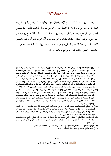وحيث لم يشترط الواقف عدم الإجارة جازت بشروطها المذكورة في بابها، ثم إن الذي يؤجره هو من له ولاية(٤٢) النظر فيه، وهو من شرط له الواقف ذلك، فلا تصح إجارته من غيره مع وجوده وأهليته ، فإن لم يشترط الواقف له ذلك فلا تصح إجارته من غيره مع وجوده وأهليته، فإن لـم يشترط الـواقف نـاظراً أو شرط ناظراً ومات، فالنظر للموقوف عليه إن كان معيناً، كزيد وأولاده مثلاً، وإن لم يكن الموقوف عليه معيناً، كالفقهاء والفقراء والمساكين ونحوهم فالحاكم(٤٣).

- بوجوب الوفاء به، والجمهور من العلماء من أهل المذاهب المشهورة وغيرهم على أنه شرط باطل، ولا يصح عندهم أن يشترط إلا ما كان قربة إلى الله تعالى، وذلك أن الإنسان ليس له أن يبذل ماله إلا لما فيه منفعته في الدين، أو الدنيا، فمادام الرجل حياً، فله أن يبذل ماله في تحصيل الأغراض المباحة ؛ لأنه ينتفع بذلـك، فأما الميت فما بقى بـعد الموت ينتفع من أعمال الأحياء إلا بـعمل صـالـح قد أمربـه، أو أعان عليه، أو قد أهدي إليه ونحو ذلك، فأما الأعمال التي ليست طاعة لله ورسوله فلا ينتفع بها الميت بحال، فإذا اشترط الواقف عملاً أوصفة لاثواب فيها، كان السعي في تحصيلها سعياً فيما لاينتفع في دنياه وآخرته، ومثل هذا لا يجوز، وهو إنما مقصوده بالوقف التقرب إلى الله تعالى، والشارع أعلم من الواقفين بما يتقرب به إلى اللـــه تــعــالـــى، فالواجب أن يعمل في شروطهم بما شرطه الله ورضيه في شروطهم (مجموع الفتاوى ٥٨/٣١ ـ ٦٣).
- ويأتي كلام العلامة ابن القيم رحمه الله مقرراً ومؤكداً لكلام شيخه في شروط الواقفين، فيقول: (إنما ينفذ من شروط الواقفيٰ ما كان طاعة وللمكلف مصلحة، وأما إن كان بضد ذلك فلا حرمة لـــه، كــشــرط الــتـــعــزب والترهب...... وبالجملة فشروط الواقفين أربعة: شروط محرمة في الشرع، وشروط مكروهة لله سبحانه، وشروط تتضمن ترك ما هو أحب إلى الله ورسوله، وشروط تتضمن فعل ما هو أحب إلى الله ورســولــه، فالأقسام الثلاثة الأول لا حرمة لها ولا اعتبار، والقسم الرابع هو الشرط المتبع الواجب الاعتـبــار) (إعــلام الموقعين ٩٦/٣ و ٩٧).
- (٤٢) الولاية في اللغة : بالكسر مصدر الوليِّ، والولي: مأخوذ من الولي، وهو القرب، ( المغرب ٣٧٢/ ٣٧٢ وأنيس الفقهاء ص ١٤٨)، وقال في الصحاح، مادة «ولي»: يقال: ولي الأمر وتولاه، إذا فعله بنفسه، والتولـيــه أن تجعله والياً. وكل من ولي أمر واحد فهو وليه، ومنه: ولي اليتيم أو القتيل: مالك أمرهما، ووالي البلد: ناظر أمور أهله (أنيس الفقهاء ص ٢٦٣، والمغرب ٢ / ٣٧٢ ).
- وأما الولاية على الوقف في الاصطلاح فهي: سلطة شرعية تجعل لمن تثبت له القدرة على وضع يــده عــلــيــه، وإدارة شؤونه من استغلال، وعمارة، وصرف الريع إلى المستحقين (أحكام الوصايا والأوقاف لمحمد شلبي ص (۳۹۸).
	- وأما الوَلاية بِالفَتحِ: فهي النصرة والمحبة. (المغرب ٢ / ٣٧٢، وأنيس الفَقهاء ص ١٤٨).

(٤٣) انظر المقنع، والشرح الكبير، والإنصاف ٤٥٦/١٦.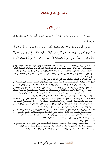# الفصل الأول

اعلم أنه إذا أجر الوقفَ من له ولاية الإجارة، ثم مات في أثناء المدة ففي ذلك ثلاث  $:(\xi \xi)$ صور

الأولى : أن يكون المؤجر قد استحق النظر لكونه حاكما ، أو استحق بشرط الواقف له ذلك وهو أجنبي، أي غير مستحق لشيء من الوقف، فهذا لا تنفسخ الإجارة بموته ولا عزله، قولاً واحداً، جزم به في (المنتهى)(٤٥) وغيره(٤٦)، ونقله في (الإنصاف)(٤٧)

- (٤٤) الذي يتولى تأجير الوقف، إما أن يكون هو الموقوف عليه، وإما أن يكون هو الناظر العام للأوقاف وهـو الحاكم، وإما أن يكون ناظراً أجنبياً معيناً بشرط الواقف، فإن كان الذي أجره ثم مات الناظر العام، أو الناظر الأجنبي الخاص، فإن الإجارة لا تنفسخ بموته بالاتفاق؛ لأن الإجارة عقد لازم، فلا تنفسخ بالموت كالبيــع، وقد أجر ما يملكه، وانظر: حاشية ابن عابدين ٤ /٤٠٣، وجواهر الإكليـل ٢ / ٢١١ ومغني المحتاج ٣٥٦/٢، والإنصاف ٣٧/٦.
	- وإن كان الذي أجره، ثم مات الموقوف عليه، ففي ذلك خلاف على قولين:
- القول الأول: أن إجارة الوقف تنفسخ بموته فيما بقي من المدة، وهذا مذهب الحنفية (حاشية ابن عابـديــن ٤ / ٤٠٣)، والمالكية (جواهر الإكلــيـل ٢١١/٢)، وهو وجه عند الحنابلة (الإنصــاف ٣٦/٦)، وقال به بعـض الشافعية، بشرط أن يكون قد اجر بدون أجرة المثل، أما إن كان أجر بأجرة المثل فلا تنفسخ بموته (مغنــي المحتاج ٢ /٣٦٥)، وقال أصحاب هذا القول في توجيهه: إنه أجر لنفسه لا لغيره، فتنفسخ بموته، ولأنا تبيَّنَّا أنه أجر ملكه وملك غيره فصح في ملكه دون ملك غيره، كما لو أجر دارين: ۖ إحداهما له والأخرى لغـيـره، وذلك لأن المنافع بعد الموت حق لغيره، فلا ينفذ عقده عليها من غير ملك ولا ولاية.
- القول الثاني: أن إجارة الوقف لا تنفسخ بموته، ولو كان هذا الناظر هو الموقوف عليه، بل تبقى إلى انقضاء المدة، وهو وجه عند الشافعية (المهـذب ٤٠٧/١)، والحنابلة (الإنصــاف ٣٦/٦)، وقد رجحه شيخ الإسلام ابـن تيمية، وقال ابن عقيل: إنه ظاهر كلام الإمام أحمد (الإنصــاف ٣٦/٦)، وقالوا في توجيهه: إن الإجارة عقد لازم، وقد أجر ما يملك إجارته، فلم تبطل بموته، كما لو أجر ملكه ثم مات.
- (٤٥) منتهى الإرادات: للفقيه الأصولي العلامة محمد بن أحمد بن عبد العزيز بن علي بن إبراهيم الفـتــوحــي المصري الحنبلي، الشهير بابن النجار، وكتابه منتهى الإرادات قد جمع فيه مؤلفه بين المقنع والتنقيح، وزاد عليهما بعض المسائل، وقد حرره على الراجح من مذهب الإمام أحمد، وانظر: المدخل ص (٢٢٢). وانظر توثيق هذا القول في: منتهى الإرادات بحاشية النجدي ٣٥٩/٣.
	- (٤٦) الإقناع ١٤/٣.
- (٤٧) الإنصاف للمرداوي، وقد سبقت ترجمته، وكتابه (الإنصاف) جعله على (المقنع)، وبين فيه الصحيح من المذهب، أما طريقته فيه، فهي أنه يذكر في المسالة أقوال الأصحاب، ثم يجعل المختار ما قاله الأكثر. وانظر: مقدمة الإنصاف، والمدخل ص (٢٢٢). وانظر توثيق هذا القول في الإنصاف ٢٤٥/١٤.

 $-774$ عَلَيْقِيْتِكَ العدد (٥٠) ربيع الآخر ١٤٣٢هـ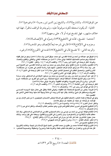$\hspace{0.1in} = \hspace{0.1in}$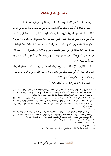وجزم به في (الوجيز )(٥٩) وغيره كملكه، وهو أشهر ، وعليه العمل(٦٠) . الصورة الثالثة : أن يكون مستحقاً للوقف ولم يجعل للوقف ناظراً غيره، بل شرط الواقف النظر له، أو تكلم بكلام يدل على ذلك، فهذا له النظر بالاستحقاق والشرط معاً، فهل يكون كمن شرط له النظر وليس مستحقاً، فلا تنفسخ الإجارة بموته ولا بعزله؟ قولاً واحداً كما تقدم في الصورة الأولى، ويكون كمن استحق النظر بالاستحقاق فقط، فيجري فيه الخلاف المذكور في الصورة الثانية ، صرح العلامة ابن قندس(٦١) ـ رحمه الله ـ في حواشي الفروع بأن الأول –وهو كونه كالأجنبي – هو ظاهر كلامهم، قال : وأفتى به بعض أصحابنا(٦٢).

قلتُ: نقل في (الإنصاف) عن شيخ شيخه العلامة ابن رجب ما نصه : «أما إذا شرطه للموقوف عليه، أو أتى بلفظ يدل على ذلك، فأفتى بعض المتأخرين بإلحاقه بالحاكم، وأنه لا تنفسخ . قولاً واحداً» انتهى(٦٣). وقطع به في (الإقناع)(٦٤)، و(المنتهى)(٦٥).

- كتاب الفروع ا.هــ، وهو رحمه الله لا يقتصر على المذهب، بل يذكر المجمع عليه والمتفق مع الإمام أحمد فــي المسألة والمخالف له فيها من الأئمة الثلاثة، وانظر: مقـدمــة الــفـروع ص ٢٢، ومقدمة الإنصــاف ص ٢٣، والمدخل لابن بدران ص (٢٢٣). وانظر توثيق هذا القول في: الفروع ٤ / ٤٤٣.
- (٥٩) الوجيز: كتاب في الفقه لمؤلفه: الحسين بن يوسف بن محمد بن السري الدجيلي البغدادي، وكتابه (الوجيز) من الكتب المعتمدة في المذهب الحنبلي، وهو من المختصرات التي تحفظ، وقد اعتمده المرداوي فـي كـتــابــه (الإنصاف) كما ذكر ذلك في مقدمته، وانظر: المقصد الأرشـد ٣٤٩/١، وانظر توثيق هذا القول في الوجيــز: ص (۱۷۳).
	- (٦٠) التنقيح المشبع ص ٢٢١.
- (٦١) ابن قندس هو: أبو بكر بن إبراهيم بن يوسف، المعروف بابن قندس، البعلي، ثم الصالحي، وقد ولد سنة (٨٠٩هــ)، وهو شيخ الحنابلة وإمامهم وفقيههم في عصره، توفي سنــة (٨٦١هــ)، من مصنفاته: حواشي الفروع، وحواشي المحرر، وانظر ترجمته في: الضوء اللامع ١٤/١١، والمقصد الأرشد ١٥٤/٣. (٦٢) حواشي ابن قندس على الفروع مخطوط (١٥٥).
	- (٦٣) الإنصاف ١٤/٥/٢٤٥.
		- (٦٤) الإقناع ٢ /٢٩٥.
	- (٦٥) وانظر توثيق هذا القول في منتهي الإرادات لابن النجار ٣٤٣/١. ا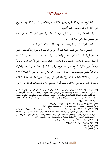وقال العلامة ابن قندس عن الثاني : «وهو كونه كمن استحق النظر بالاستحقاق فقط» هو مقتضى كلام ابن حمدان(٦٩) .

قال أبو العباس ابن تيمية رحمه الله : وهو أشبه(٧٠)، انتهى(٧١).

وملخص ما تقدم من الصور الثلاث، أن المؤجر للوقف لا يخلو : إما أن يكون غير مستحق في الوقف، كالناظر الأجنبي والحاكم، أو يكون مستحقاً، والمستحق إما أن يكون له النظر بسبب الاستحقاق فقط ، أو بالاستحقاق والشرط معاً ، ففي الأولى تنفسخ . قولاً ۖ واحداً، وفي الثانية تنفسخ . على الصحيح، وفي الثالثة، إن ألحقناه أي المؤجر بالأول وهو الأجنبي لـم تنفسـخ . قـولاً واحـداً، وهـو الذي جـزم بـه فـي (الإقـنـاع)(٧٢) و(المنتهى)(٧٣) كما تقدم(٧٤)، وإن ألحقناه بالثاني وهو المستحق للنظر باستحقاقه الوقف بالشرط، ففيه ما فيه من الخلاف، فظهر أنه لا تنفسخ إجارة الوقف بموت المؤجر إلا في

- (٦٦) هو: الشيخ العلامة، منصور بن يونس بن صلاح الدين بن حسن بن أحمد بن إدريس البهوتي الحنبلـي المصري، ولد سنة (١٠٠٠هـ)، وكان ممن انتهى إليه الإفتاء والتدريس في زمانه، وكان صارفــأ أوقاته في نفع الناس وتحرير المسائل الفقهية، توفي سنة (٥١٠٥١هـ)، من مصنفاته: كشاف القناع عن الإقناع، والروض المربع شرح زاد المستقنع، وشرح منتهي الإرادات، وغيرها، وانظر ترجمته في: السحب الوابلــة ١١٣١/٣، ا والنعت الأكمل: ص( ٢١٠).
	- (٦٧) أي شرح الإقناع، وهو كشاف القناع، وشرح منتهي الإرادات.
	- (٦٨) انظر: شرح منتهي الإرادات للبهوتي ٢ /٣٦٣، وكشاف القناع ٧٤/١٠.
- (٦٩) كما في (الرعاية الكبرى)، وابن حمدان هو: أحمد بن حمدان بن شبيب بن حمدان النمري الحراني، ولـد سنة (٦٠٣هـ)، وهو نزيل القاهرة، وهو صاحب التصانيف البديعة، توفي سنة (٦٩٥ هـ)، من مصنفاته: الرعاية الصغرى والكبرى، وهما في الفقه، والوافي في أصول الفقه، وانظر ترجمته في: الذيل لابن رجب ٢ / ٢٣١، والمقصد الأرشد ٩٩/١، وانظر توثيق قول ابن حمدان في: ا لإنصاف ٢٤٥/١٤.
	- (٧٠) كما في مختصر الفتاوى المصرية ص (٤٠٢ و ٤٠٣).
		- (٧١) حواشي ابن قندس مخطوط ص (١٥٤).
			- (٧٢) الإقناع ٢ /٢٩٥.
			- (۷۳) المنتهی ۲ / ۳٤۳.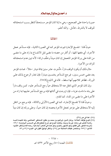صورة واحدة على الصحيح ، وهي ما إذا كان المؤجر مستحقاً للنظر بسبب استحقاقه للوقف لا بالشرط، فتأمل . والله أعلم .

#### الخاتمة

حيثُ قلنا : تنفسخ الإجارة بموت المؤجر كما في الصورة الثانية ، فإنه مستأجر عجل الأجرة، أي دفعها كلها، أو أكثر من حصته ما مضي قبل الانفساخ بما زاد على ما مضي من المدة على ورثة المؤجر المتعجل إن كـان ميتاً وخلَّف تركة ؛ لأنه تبين عدم استحقاقه للزائد من الأجرة .

مثال ذلك أن يكون الوقف داراً، فأجرت عشر سنين بمائة دينار –مثلاً – فمات المؤجر بعد مضي خمس سنين، فيرجع المستأجر بخمسين ديناراً، فإن تعذر الرجوع بذلك على الورثة، فظاهر كلامهم أنها تسقط، قاله في (المبدع)(٧٥).

وإن كان المؤجر الذي انتقل عنه الاستحقاق حياً رجع المستأجر عليه ، كمن وقف داراً على بنته ما دامت عزباء، فإن تزوجت في أثنائها فإنه يرجع المستأجر عليها بما زاد من الأجرة على ما مضى من المدة، كما تقدم .

وحيثُ قلنا لا تنفسخ الإجارة، كما في الصورة الأولى والثالثة، ۖ فإنه يرجع من انتقل إليه الاستحقاق على مؤجر تعجل الأجرة بحصته إن كان حياً، وعلى ورثته إن كان ميتاً

<sup>(</sup>٧٤) كما في ص (٣٤).

<sup>(</sup>٧٥) المدع لمؤلفه: العلامة برهان الدين، إبراهيم بن محمد بن مفلح، الدمشقي الصالحي، وقد انتهت إلــيـه رئاسة المذهب في زمانه، لورعه ودينه، وكتابه المدع هو شرح للمقنع قال في السحـب الــوابــلــة ٦٣/١: (شرحه المذكور على المقنع، وهو المشهور بالمبدع، وهو عمدة في المذهب، أجاد فيه. رحمه الله) وانظر: الضوء اللامع ٢٥٢/١، ومختصر طبقات الحنابلة ص (٦٧)، وانظر توثيق القول في: المبدع ٨٢/٥ و ٨٣.